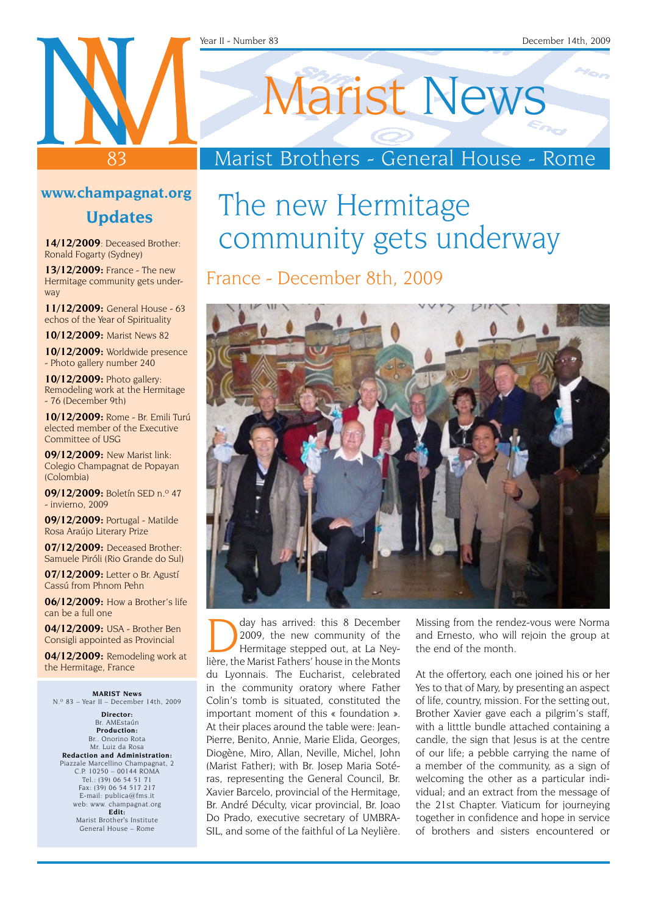#### Year II - Number 83 December 14th, 2009

### 83 **www.champagnat.org**

#### **Updates**

**14/12/2009**: Deceased Brother: Ronald Fogarty (Sydney)

**13/12/2009:** France - The new Hermitage community gets underway

**11/12/2009:** General House - 63 echos of the Year of Spirituality

**10/12/2009:** Marist News 82

**10/12/2009:** Worldwide presence - Photo gallery number 240

**10/12/2009:** Photo gallery: Remodeling work at the Hermitage - 76 (December 9th)

**10/12/2009:** Rome - Br. Emili Turú elected member of the Executive Committee of USG

**09/12/2009:** New Marist link: Colegio Champagnat de Popayan (Colombia)

**09/12/2009:** Boletín SED n.º 47 - invierno, 2009

**09/12/2009:** Portugal - Matilde Rosa Araújo Literary Prize

**07/12/2009:** Deceased Brother: Samuele Piróli (Rio Grande do Sul)

**07/12/2009:** Letter o Br. Agustí Cassú from Phnom Pehn

**06/12/2009:** How a Brother's life can be a full one

**04/12/2009:** USA - Brother Ben Consigli appointed as Provincial

**04/12/2009:** Remodeling work at the Hermitage, France

**Marist News** N.º 83 – Year II – December 14th, 2009

**Director:** Br. AMEstaún **Production:** Br.. Onorino Rota Mr. Luiz da Rosa **Redaction and Administration:** Piazzale Marcellino Champagnat, 2 C.P. 10250 – 00144 ROMA Tel.: (39) 06 54 51 71 Fax: (39) 06 54 517 217 E-mail: publica@fms.it web: www. champagnat.org **Edit:** Marist Brother's Institute General House – Rome

# Marist News

### Marist Brothers - General House - Rome

## The new Hermitage community gets underway

France - December 8th, 2009



day has arrived: this 8 December<br>2009, the new community of the<br>Hermitage stepped out, at La Ney-2009, the new community of the Hermitage stepped out, at La Neylière, the Marist Fathers' house in the Monts du Lyonnais. The Eucharist, celebrated in the community oratory where Father Colin's tomb is situated, constituted the important moment of this « foundation ». At their places around the table were: Jean-Pierre, Benito, Annie, Marie Elida, Georges, Diogène, Miro, Allan, Neville, Michel, John (Marist Father); with Br. Josep Maria Sotéras, representing the General Council, Br. Xavier Barcelo, provincial of the Hermitage, Br. André Déculty, vicar provincial, Br. Joao Do Prado, executive secretary of UMBRA-SIL, and some of the faithful of La Neylière.

Missing from the rendez-vous were Norma and Ernesto, who will rejoin the group at the end of the month.

At the offertory, each one joined his or her Yes to that of Mary, by presenting an aspect of life, country, mission. For the setting out, Brother Xavier gave each a pilgrim's staff, with a litttle bundle attached containing a candle, the sign that Jesus is at the centre of our life; a pebble carrying the name of a member of the community, as a sign of welcoming the other as a particular individual; and an extract from the message of the 21st Chapter. Viaticum for journeying together in confidence and hope in service of brothers and sisters encountered or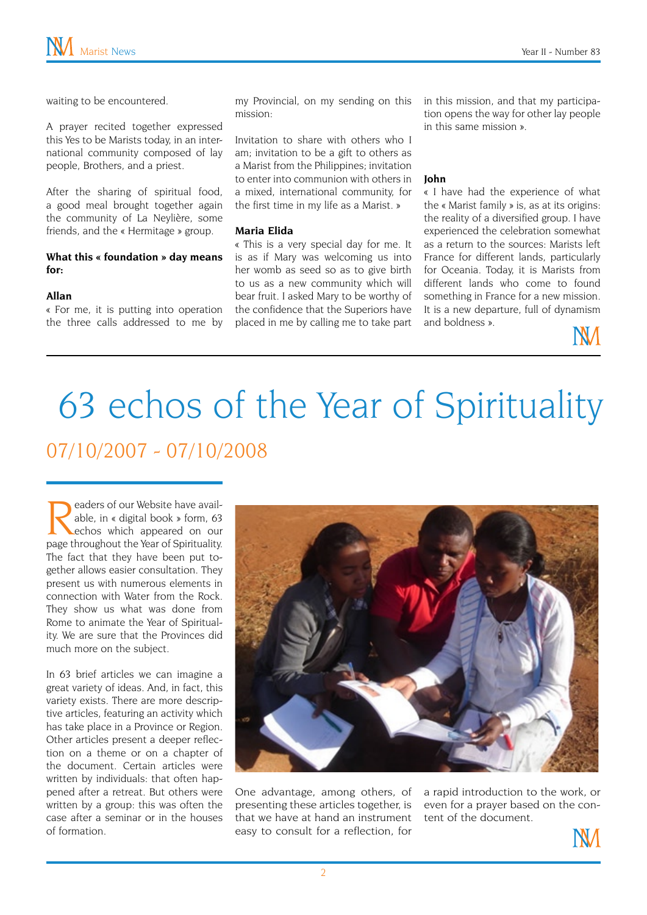waiting to be encountered.

A prayer recited together expressed this Yes to be Marists today, in an international community composed of lay people, Brothers, and a priest.

After the sharing of spiritual food, a good meal brought together again the community of La Neylière, some friends, and the « Hermitage » group.

#### **What this « foundation » day means for:**

#### **Allan**

« For me, it is putting into operation the three calls addressed to me by my Provincial, on my sending on this mission:

Invitation to share with others who I am; invitation to be a gift to others as a Marist from the Philippines; invitation to enter into communion with others in a mixed, international community, for the first time in my life as a Marist. »

#### **Maria Elida**

« This is a very special day for me. It is as if Mary was welcoming us into her womb as seed so as to give birth to us as a new community which will bear fruit. I asked Mary to be worthy of the confidence that the Superiors have placed in me by calling me to take part in this mission, and that my participation opens the way for other lay people in this same mission ».

#### **John**

« I have had the experience of what the « Marist family » is, as at its origins: the reality of a diversified group. I have experienced the celebration somewhat as a return to the sources: Marists left France for different lands, particularly for Oceania. Today, it is Marists from different lands who come to found something in France for a new mission. It is a new departure, full of dynamism and boldness ».



# 63 echos of the Year of Spirituality 07/10/2007 - 07/10/2008

eaders of our Website have available, in « digital book » form, 63 echos which appeared on our page throughout the Year of Spirituality. The fact that they have been put together allows easier consultation. They present us with numerous elements in connection with Water from the Rock. They show us what was done from Rome to animate the Year of Spirituality. We are sure that the Provinces did much more on the subject.

In 63 brief articles we can imagine a great variety of ideas. And, in fact, this variety exists. There are more descriptive articles, featuring an activity which has take place in a Province or Region. Other articles present a deeper reflection on a theme or on a chapter of the document. Certain articles were written by individuals: that often happened after a retreat. But others were written by a group: this was often the case after a seminar or in the houses of formation.



One advantage, among others, of presenting these articles together, is that we have at hand an instrument easy to consult for a reflection, for

a rapid introduction to the work, or even for a prayer based on the content of the document.

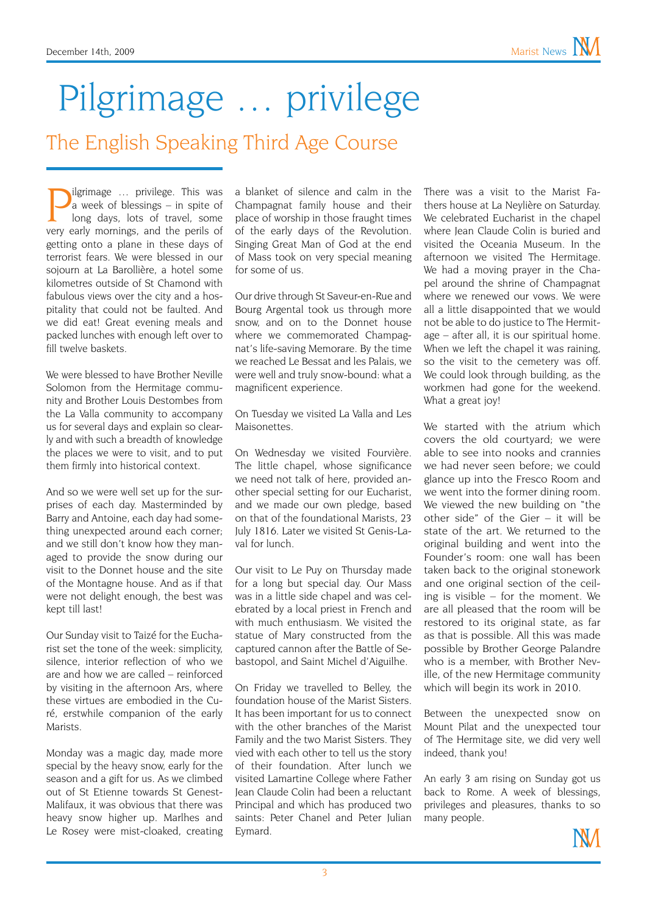# Pilgrimage … privilege

The English Speaking Third Age Course

**P**ilgrimage ... privilege. This was<br>a week of blessings – in spite of<br>long days, lots of travel, some<br>very early mornings, and the perils of a week of blessings – in spite of long days, lots of travel, some very early mornings, and the perils of getting onto a plane in these days of terrorist fears. We were blessed in our sojourn at La Barollière, a hotel some kilometres outside of St Chamond with fabulous views over the city and a hospitality that could not be faulted. And we did eat! Great evening meals and packed lunches with enough left over to fill twelve baskets.

We were blessed to have Brother Neville Solomon from the Hermitage community and Brother Louis Destombes from the La Valla community to accompany us for several days and explain so clearly and with such a breadth of knowledge the places we were to visit, and to put them firmly into historical context.

And so we were well set up for the surprises of each day. Masterminded by Barry and Antoine, each day had something unexpected around each corner; and we still don't know how they managed to provide the snow during our visit to the Donnet house and the site of the Montagne house. And as if that were not delight enough, the best was kept till last!

Our Sunday visit to Taizé for the Eucharist set the tone of the week: simplicity, silence, interior reflection of who we are and how we are called – reinforced by visiting in the afternoon Ars, where these virtues are embodied in the Curé, erstwhile companion of the early Marists.

Monday was a magic day, made more special by the heavy snow, early for the season and a gift for us. As we climbed out of St Etienne towards St Genest-Malifaux, it was obvious that there was heavy snow higher up. Marlhes and Le Rosey were mist-cloaked, creating a blanket of silence and calm in the Champagnat family house and their place of worship in those fraught times of the early days of the Revolution. Singing Great Man of God at the end of Mass took on very special meaning for some of us.

Our drive through St Saveur-en-Rue and Bourg Argental took us through more snow, and on to the Donnet house where we commemorated Champagnat's life-saving Memorare. By the time we reached Le Bessat and les Palais, we were well and truly snow-bound: what a magnificent experience.

On Tuesday we visited La Valla and Les Maisonettes.

On Wednesday we visited Fourvière. The little chapel, whose significance we need not talk of here, provided another special setting for our Eucharist, and we made our own pledge, based on that of the foundational Marists, 23 July 1816. Later we visited St Genis-Laval for lunch.

Our visit to Le Puy on Thursday made for a long but special day. Our Mass was in a little side chapel and was celebrated by a local priest in French and with much enthusiasm. We visited the statue of Mary constructed from the captured cannon after the Battle of Sebastopol, and Saint Michel d'Aiguilhe.

On Friday we travelled to Belley, the foundation house of the Marist Sisters. It has been important for us to connect with the other branches of the Marist Family and the two Marist Sisters. They vied with each other to tell us the story of their foundation. After lunch we visited Lamartine College where Father Jean Claude Colin had been a reluctant Principal and which has produced two saints: Peter Chanel and Peter Julian Eymard.

There was a visit to the Marist Fathers house at La Neylière on Saturday. We celebrated Eucharist in the chapel where Jean Claude Colin is buried and visited the Oceania Museum. In the afternoon we visited The Hermitage. We had a moving prayer in the Chapel around the shrine of Champagnat where we renewed our vows. We were all a little disappointed that we would not be able to do justice to The Hermitage – after all, it is our spiritual home. When we left the chapel it was raining, so the visit to the cemetery was off. We could look through building, as the workmen had gone for the weekend. What a great joy!

We started with the atrium which covers the old courtyard; we were able to see into nooks and crannies we had never seen before; we could glance up into the Fresco Room and we went into the former dining room. We viewed the new building on "the other side" of the Gier – it will be state of the art. We returned to the original building and went into the Founder's room: one wall has been taken back to the original stonework and one original section of the ceiling is visible – for the moment. We are all pleased that the room will be restored to its original state, as far as that is possible. All this was made possible by Brother George Palandre who is a member, with Brother Neville, of the new Hermitage community which will begin its work in 2010.

Between the unexpected snow on Mount Pilat and the unexpected tour of The Hermitage site, we did very well indeed, thank you!

An early 3 am rising on Sunday got us back to Rome. A week of blessings, privileges and pleasures, thanks to so many people.